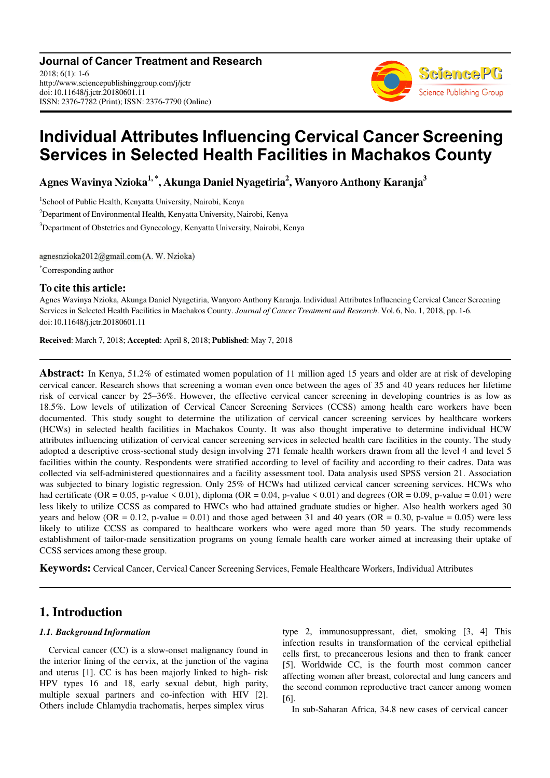

# **Individual Attributes Influencing Cervical Cancer Screening Services in Selected Health Facilities in Machakos County**

**Agnes Wavinya Nzioka1, \*, Akunga Daniel Nyagetiria<sup>2</sup> , Wanyoro Anthony Karanja<sup>3</sup>**

1 School of Public Health, Kenyatta University, Nairobi, Kenya

<sup>2</sup>Department of Environmental Health, Kenyatta University, Nairobi, Kenya

<sup>3</sup>Department of Obstetrics and Gynecology, Kenyatta University, Nairobi, Kenya

agnesnzioka2012@gmail.com (A. W. Nzioka)

\*Corresponding author

#### **To cite this article:**

Agnes Wavinya Nzioka, Akunga Daniel Nyagetiria, Wanyoro Anthony Karanja. Individual Attributes Influencing Cervical Cancer Screening Services in Selected Health Facilities in Machakos County. *Journal of Cancer Treatment and Research*. Vol. 6, No. 1, 2018, pp. 1-6. doi: 10.11648/j.jctr.20180601.11

**Received**: March 7, 2018; **Accepted**: April 8, 2018; **Published**: May 7, 2018

**Abstract:** In Kenya, 51.2% of estimated women population of 11 million aged 15 years and older are at risk of developing cervical cancer. Research shows that screening a woman even once between the ages of 35 and 40 years reduces her lifetime risk of cervical cancer by 25–36%. However, the effective cervical cancer screening in developing countries is as low as 18.5%. Low levels of utilization of Cervical Cancer Screening Services (CCSS) among health care workers have been documented. This study sought to determine the utilization of cervical cancer screening services by healthcare workers (HCWs) in selected health facilities in Machakos County. It was also thought imperative to determine individual HCW attributes influencing utilization of cervical cancer screening services in selected health care facilities in the county. The study adopted a descriptive cross-sectional study design involving 271 female health workers drawn from all the level 4 and level 5 facilities within the county. Respondents were stratified according to level of facility and according to their cadres. Data was collected via self-administered questionnaires and a facility assessment tool. Data analysis used SPSS version 21. Association was subjected to binary logistic regression. Only 25% of HCWs had utilized cervical cancer screening services. HCWs who had certificate (OR = 0.05, p-value < 0.01), diploma (OR = 0.04, p-value < 0.01) and degrees (OR = 0.09, p-value = 0.01) were less likely to utilize CCSS as compared to HWCs who had attained graduate studies or higher. Also health workers aged 30 years and below (OR = 0.12, p-value = 0.01) and those aged between 31 and 40 years (OR = 0.30, p-value = 0.05) were less likely to utilize CCSS as compared to healthcare workers who were aged more than 50 years. The study recommends establishment of tailor-made sensitization programs on young female health care worker aimed at increasing their uptake of CCSS services among these group.

**Keywords:** Cervical Cancer, Cervical Cancer Screening Services, Female Healthcare Workers, Individual Attributes

# **1. Introduction**

#### *1.1. Background Information*

Cervical cancer (CC) is a slow-onset malignancy found in the interior lining of the cervix, at the junction of the vagina and uterus [1]. CC is has been majorly linked to high- risk HPV types 16 and 18, early sexual debut, high parity, multiple sexual partners and co-infection with HIV [2]. Others include Chlamydia trachomatis, herpes simplex virus

type 2, immunosuppressant, diet, smoking [3, 4] This infection results in transformation of the cervical epithelial cells first, to precancerous lesions and then to frank cancer [5]. Worldwide CC, is the fourth most common cancer affecting women after breast, colorectal and lung cancers and the second common reproductive tract cancer among women [6].

In sub-Saharan Africa, 34.8 new cases of cervical cancer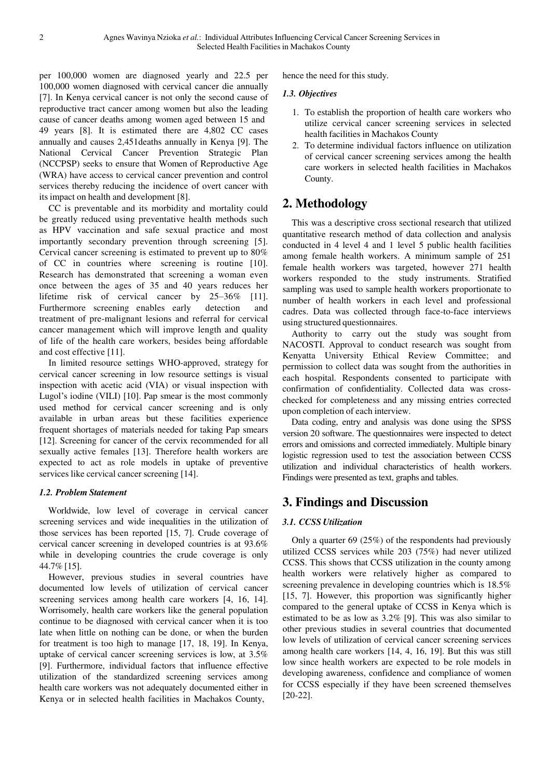per 100,000 women are diagnosed yearly and 22.5 per 100,000 women diagnosed with cervical cancer die annually [7]. In Kenya cervical cancer is not only the second cause of reproductive tract cancer among women but also the leading cause of cancer deaths among women aged between 15 and 49 years [8]. It is estimated there are 4,802 CC cases annually and causes 2,451deaths annually in Kenya [9]. The National Cervical Cancer Prevention Strategic Plan (NCCPSP) seeks to ensure that Women of Reproductive Age (WRA) have access to cervical cancer prevention and control services thereby reducing the incidence of overt cancer with its impact on health and development [8].

CC is preventable and its morbidity and mortality could be greatly reduced using preventative health methods such as HPV vaccination and safe sexual practice and most importantly secondary prevention through screening [5]. Cervical cancer screening is estimated to prevent up to 80% of CC in countries where screening is routine [10]. Research has demonstrated that screening a woman even once between the ages of 35 and 40 years reduces her lifetime risk of cervical cancer by 25–36% [11]. Furthermore screening enables early detection and treatment of pre-malignant lesions and referral for cervical cancer management which will improve length and quality of life of the health care workers, besides being affordable and cost effective [11].

In limited resource settings WHO-approved, strategy for cervical cancer screening in low resource settings is visual inspection with acetic acid (VIA) or visual inspection with Lugol's iodine (VILI) [10]. Pap smear is the most commonly used method for cervical cancer screening and is only available in urban areas but these facilities experience frequent shortages of materials needed for taking Pap smears [12]. Screening for cancer of the cervix recommended for all sexually active females [13]. Therefore health workers are expected to act as role models in uptake of preventive services like cervical cancer screening [14].

#### *1.2. Problem Statement*

Worldwide, low level of coverage in cervical cancer screening services and wide inequalities in the utilization of those services has been reported [15, 7]. Crude coverage of cervical cancer screening in developed countries is at 93.6% while in developing countries the crude coverage is only 44.7% [15].

However, previous studies in several countries have documented low levels of utilization of cervical cancer screening services among health care workers [4, 16, 14]. Worrisomely, health care workers like the general population continue to be diagnosed with cervical cancer when it is too late when little on nothing can be done, or when the burden for treatment is too high to manage [17, 18, 19]. In Kenya, uptake of cervical cancer screening services is low, at 3.5% [9]. Furthermore, individual factors that influence effective utilization of the standardized screening services among health care workers was not adequately documented either in Kenya or in selected health facilities in Machakos County,

hence the need for this study.

#### *1.3. Objectives*

- 1. To establish the proportion of health care workers who utilize cervical cancer screening services in selected health facilities in Machakos County
- 2. To determine individual factors influence on utilization of cervical cancer screening services among the health care workers in selected health facilities in Machakos County.

# **2. Methodology**

This was a descriptive cross sectional research that utilized quantitative research method of data collection and analysis conducted in 4 level 4 and 1 level 5 public health facilities among female health workers. A minimum sample of 251 female health workers was targeted, however 271 health workers responded to the study instruments. Stratified sampling was used to sample health workers proportionate to number of health workers in each level and professional cadres. Data was collected through face-to-face interviews using structured questionnaires.

Authority to carry out the study was sought from NACOSTI. Approval to conduct research was sought from Kenyatta University Ethical Review Committee; and permission to collect data was sought from the authorities in each hospital. Respondents consented to participate with confirmation of confidentiality. Collected data was crosschecked for completeness and any missing entries corrected upon completion of each interview.

Data coding, entry and analysis was done using the SPSS version 20 software. The questionnaires were inspected to detect errors and omissions and corrected immediately. Multiple binary logistic regression used to test the association between CCSS utilization and individual characteristics of health workers. Findings were presented as text, graphs and tables.

### **3. Findings and Discussion**

#### *3.1. CCSS Utilization*

Only a quarter 69 (25%) of the respondents had previously utilized CCSS services while 203 (75%) had never utilized CCSS. This shows that CCSS utilization in the county among health workers were relatively higher as compared to screening prevalence in developing countries which is 18.5% [15, 7]. However, this proportion was significantly higher compared to the general uptake of CCSS in Kenya which is estimated to be as low as 3.2% [9]. This was also similar to other previous studies in several countries that documented low levels of utilization of cervical cancer screening services among health care workers [14, 4, 16, 19]. But this was still low since health workers are expected to be role models in developing awareness, confidence and compliance of women for CCSS especially if they have been screened themselves [20-22].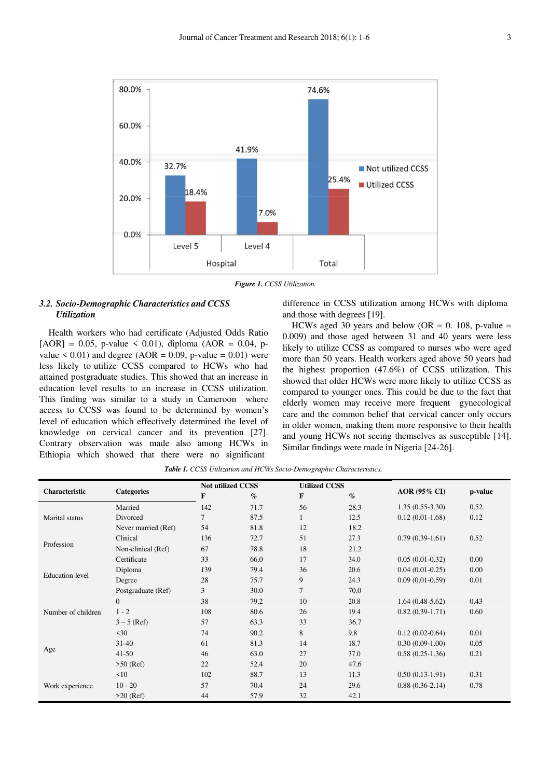

*Figure 1. CCSS Utilization.*

#### *3.2. Socio-Demographic Characteristics and CCSS Utilization*

Health workers who had certificate (Adjusted Odds Ratio  $[AOR] = 0.05$ , p-value < 0.01), diploma (AOR = 0.04, pvalue  $\leq 0.01$ ) and degree (AOR = 0.09, p-value = 0.01) were less likely to utilize CCSS compared to HCWs who had attained postgraduate studies. This showed that an increase in education level results to an increase in CCSS utilization. This finding was similar to a study in Cameroon where access to CCSS was found to be determined by women's level of education which effectively determined the level of knowledge on cervical cancer and its prevention [27]. Contrary observation was made also among HCWs in Ethiopia which showed that there were no significant

difference in CCSS utilization among HCWs with diploma and those with degrees [19].

HCWs aged 30 years and below (OR = 0. 108, p-value = 0.009) and those aged between 31 and 40 years were less likely to utilize CCSS as compared to nurses who were aged more than 50 years. Health workers aged above 50 years had the highest proportion (47.6%) of CCSS utilization. This showed that older HCWs were more likely to utilize CCSS as compared to younger ones. This could be due to the fact that elderly women may receive more frequent gynecological care and the common belief that cervical cancer only occurs in older women, making them more responsive to their health and young HCWs not seeing themselves as susceptible [14]. Similar findings were made in Nigeria [24-26].

*Table 1. CCSS Utilization and HCWs Socio-Demographic Characteristics.*

| Characteristic         | <b>Categories</b>   | <b>Not utilized CCSS</b> |      | <b>Utilized CCSS</b> |                 |                     |         |
|------------------------|---------------------|--------------------------|------|----------------------|-----------------|---------------------|---------|
|                        |                     | F                        | $\%$ | $\mathbf{F}$         | $\mathcal{O}_0$ | AOR (95% CI)        | p-value |
| Marital status         | Married             | 142                      | 71.7 | 56                   | 28.3            | $1.35(0.55-3.30)$   | 0.52    |
|                        | Divorced            | 7                        | 87.5 |                      | 12.5            | $0.12(0.01-1.68)$   | 0.12    |
|                        | Never married (Ref) | 54                       | 81.8 | 12                   | 18.2            |                     |         |
| Profession             | Clinical            | 136                      | 72.7 | 51                   | 27.3            | $0.79(0.39-1.61)$   | 0.52    |
|                        | Non-clinical (Ref)  | 67                       | 78.8 | 18                   | 21.2            |                     |         |
| <b>Education</b> level | Certificate         | 33                       | 66.0 | 17                   | 34.0            | $0.05(0.01-0.32)$   | 0.00    |
|                        | Diploma             | 139                      | 79.4 | 36                   | 20.6            | $0.04(0.01-0.25)$   | 0.00    |
|                        | Degree              | 28                       | 75.7 | 9                    | 24.3            | $0.09(0.01-0.59)$   | 0.01    |
|                        | Postgraduate (Ref)  | 3                        | 30.0 | $\tau$               | 70.0            |                     |         |
| Number of children     | $\theta$            | 38                       | 79.2 | 10                   | 20.8            | $1.64(0.48-5.62)$   | 0.43    |
|                        | $1 - 2$             | 108                      | 80.6 | 26                   | 19.4            | $0.82(0.39-1.71)$   | 0.60    |
|                        | $3 - 5$ (Ref)       | 57                       | 63.3 | 33                   | 36.7            |                     |         |
| Age                    | $\leq 30$           | 74                       | 90.2 | 8                    | 9.8             | $0.12(0.02 - 0.64)$ | 0.01    |
|                        | $31 - 40$           | 61                       | 81.3 | 14                   | 18.7            | $0.30(0.09-1.00)$   | 0.05    |
|                        | $41 - 50$           | 46                       | 63.0 | 27                   | 37.0            | $0.58(0.25-1.36)$   | 0.21    |
|                        | $>50$ (Ref)         | 22                       | 52.4 | 20                   | 47.6            |                     |         |
| Work experience        | $\leq 10$           | 102                      | 88.7 | 13                   | 11.3            | $0.50(0.13-1.91)$   | 0.31    |
|                        | $10 - 20$           | 57                       | 70.4 | 24                   | 29.6            | $0.88(0.36-2.14)$   | 0.78    |
|                        | $>20$ (Ref)         | 44                       | 57.9 | 32                   | 42.1            |                     |         |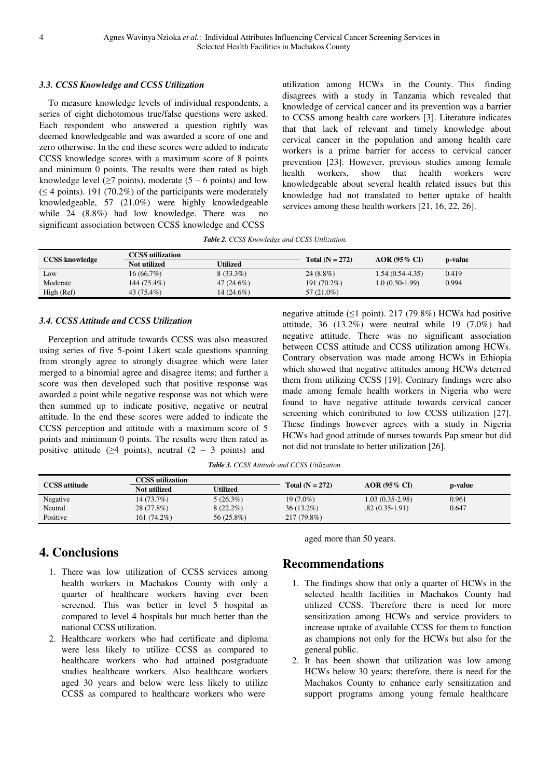#### *3.3. CCSS Knowledge and CCSS Utilization*

To measure knowledge levels of individual respondents, a series of eight dichotomous true/false questions were asked. Each respondent who answered a question rightly was deemed knowledgeable and was awarded a score of one and zero otherwise. In the end these scores were added to indicate CCSS knowledge scores with a maximum score of 8 points and minimum 0 points. The results were then rated as high knowledge level ( $\geq$ 7 points), moderate (5 – 6 points) and low  $(\leq 4 \text{ points})$ . 191 (70.2%) of the participants were moderately knowledgeable, 57 (21.0%) were highly knowledgeable while 24 (8.8%) had low knowledge. There was no significant association between CCSS knowledge and CCSS

utilization among HCWs in the County. This finding disagrees with a study in Tanzania which revealed that knowledge of cervical cancer and its prevention was a barrier to CCSS among health care workers [3]. Literature indicates that that lack of relevant and timely knowledge about cervical cancer in the population and among health care workers is a prime barrier for access to cervical cancer prevention [23]. However, previous studies among female health workers, show that health workers were knowledgeable about several health related issues but this knowledge had not translated to better uptake of health services among these health workers [21, 16, 22, 26].

*Table 2. CCSS Knowledge and CCSS Utilization.*

| <b>CCSS</b> knowledge | <b>CCSS</b> utilization |              |                   |                   |         |
|-----------------------|-------------------------|--------------|-------------------|-------------------|---------|
|                       | Not utilized            | Utilized     | Total $(N = 272)$ | $AOR$ (95% CI)    | p-value |
| Low                   | 16(66.7%)               | $8(33.3\%)$  | $24(8.8\%)$       | $1.54(0.54-4.35)$ | 0.419   |
| Moderate              | 144 (75.4%)             | $47(24.6\%)$ | 191 (70.2%)       | $1.0(0.50-1.99)$  | 0.994   |
| High (Ref)            | 43 (75.4%)              | 14 (24.6%)   | $57(21.0\%)$      |                   |         |

#### *3.4. CCSS Attitude and CCSS Utilization*

Perception and attitude towards CCSS was also measured using series of five 5-point Likert scale questions spanning from strongly agree to strongly disagree which were later merged to a binomial agree and disagree items; and further a score was then developed such that positive response was awarded a point while negative response was not which were then summed up to indicate positive, negative or neutral attitude. In the end these scores were added to indicate the CCSS perception and attitude with a maximum score of 5 points and minimum 0 points. The results were then rated as positive attitude ( $\geq 4$  points), neutral (2 – 3 points) and

negative attitude ( $\leq$ 1 point). 217 (79.8%) HCWs had positive attitude, 36 (13.2%) were neutral while 19 (7.0%) had negative attitude. There was no significant association between CCSS attitude and CCSS utilization among HCWs. Contrary observation was made among HCWs in Ethiopia which showed that negative attitudes among HCWs deterred them from utilizing CCSS [19]. Contrary findings were also made among female health workers in Nigeria who were found to have negative attitude towards cervical cancer screening which contributed to low CCSS utilization [27]. These findings however agrees with a study in Nigeria HCWs had good attitude of nurses towards Pap smear but did not did not translate to better utilization [26].

*Table 3. CCSS Attitude and CCSS Utilization.*

|                      | CCSS utilization |             |                   |                     |         |
|----------------------|------------------|-------------|-------------------|---------------------|---------|
| <b>CCSS</b> attitude | Not utilized     | Utilized    | Total $(N = 272)$ | <b>AOR (95% CD)</b> | p-value |
| Negative             | $14(73.7\%)$     | $5(26.3\%)$ | $19(7.0\%)$       | $1.03(0.35-2.98)$   | 0.961   |
| Neutral              | 28 (77.8%)       | $8(22.2\%)$ | $36(13.2\%)$      | $.82(0.35-1.91)$    | 0.647   |
| Positive             | 161 (74.2%)      | 56 (25.8%)  | 217 (79.8%)       |                     |         |

# **4. Conclusions**

- 1. There was low utilization of CCSS services among health workers in Machakos County with only a quarter of healthcare workers having ever been screened. This was better in level 5 hospital as compared to level 4 hospitals but much better than the national CCSS utilization.
- 2. Healthcare workers who had certificate and diploma were less likely to utilize CCSS as compared to healthcare workers who had attained postgraduate studies healthcare workers. Also healthcare workers aged 30 years and below were less likely to utilize CCSS as compared to healthcare workers who were

aged more than 50 years.

### **Recommendations**

- 1. The findings show that only a quarter of HCWs in the selected health facilities in Machakos County had utilized CCSS. Therefore there is need for more sensitization among HCWs and service providers to increase uptake of available CCSS for them to function as champions not only for the HCWs but also for the general public.
- 2. It has been shown that utilization was low among HCWs below 30 years; therefore, there is need for the Machakos County to enhance early sensitization and support programs among young female healthcare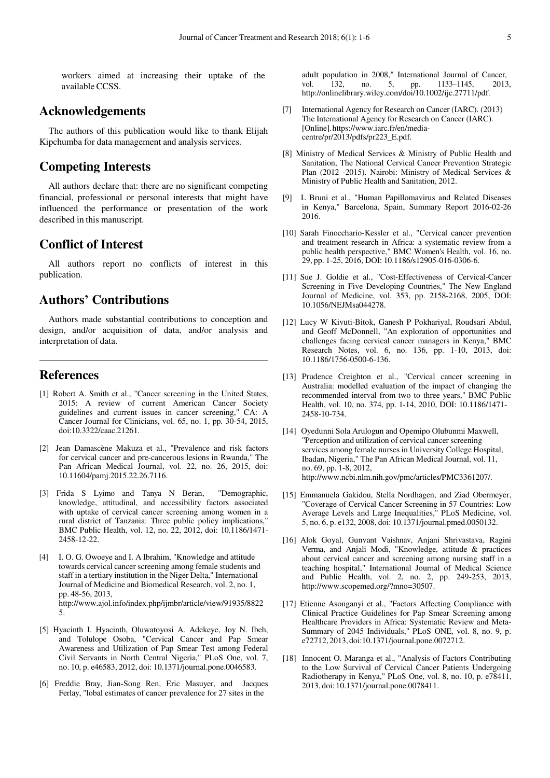workers aimed at increasing their uptake of the available CCSS.

### **Acknowledgements**

The authors of this publication would like to thank Elijah Kipchumba for data management and analysis services.

### **Competing Interests**

All authors declare that: there are no significant competing financial, professional or personal interests that might have influenced the performance or presentation of the work described in this manuscript.

### **Conflict of Interest**

All authors report no conflicts of interest in this publication.

# **Authors' Contributions**

Authors made substantial contributions to conception and design, and/or acquisition of data, and/or analysis and interpretation of data.

### **References**

- [1] Robert A. Smith et al., "Cancer screening in the United States, 2015: A review of current American Cancer Society guidelines and current issues in cancer screening," CA: A Cancer Journal for Clinicians, vol. 65, no. 1, pp. 30-54, 2015, doi:10.3322/caac.21261.
- [2] Jean Damascène Makuza et al., "Prevalence and risk factors for cervical cancer and pre-cancerous lesions in Rwanda," The Pan African Medical Journal, vol. 22, no. 26, 2015, doi: 10.11604/pamj.2015.22.26.7116.
- [3] Frida S Lyimo and Tanya N Beran, "Demographic, knowledge, attitudinal, and accessibility factors associated with uptake of cervical cancer screening among women in a rural district of Tanzania: Three public policy implications," BMC Public Health, vol. 12, no. 22, 2012, doi: 10.1186/1471- 2458-12-22.
- [4] I. O. G. Owoeye and I. A Ibrahim, "Knowledge and attitude towards cervical cancer screening among female students and staff in a tertiary institution in the Niger Delta," International Journal of Medicine and Biomedical Research, vol. 2, no. 1, pp. 48-56, 2013, <http://www.ajol.info/index.php/ijmbr/article/view/91935/8822> 5.
- [5] Hyacinth I. Hyacinth, Oluwatoyosi A. Adekeye, Joy N. Ibeh, and Tolulope Osoba, "Cervical Cancer and Pap Smear Awareness and Utilization of Pap Smear Test among Federal Civil Servants in North Central Nigeria," PLoS One, vol. 7, no. 10, p. e46583, 2012, doi: 10.1371/journal.pone.0046583.
- [6] Freddie Bray, Jian-Song Ren, Eric Masuyer, and Jacques Ferlay, "lobal estimates of cancer prevalence for 27 sites in the

adult population in 2008," International Journal of Cancer, vol. 132, no. 5, pp. 1133-1145, 2013 vol. 132, no. 5, pp. 1133-1145, 2013, [http://onlinelibrary.wiley.com/doi/10.1002/ijc.27711/pdf.](http://onlinelibrary.wiley.com/doi/10.1002/ijc.27711/pdf) 

- [7] International Agency for Research on Cancer (IARC). (2013) The International Agency for Research on Cancer (IARC). [Online]. http[s://www.iarc.fr/en/media](http://www.iarc.fr/en/media-)centre/pr/2013/pdfs/pr223\_E.pdf.
- [8] Ministry of Medical Services & Ministry of Public Health and Sanitation, The National Cervical Cancer Prevention Strategic Plan (2012 -2015). Nairobi: Ministry of Medical Services & Ministry of Public Health and Sanitation, 2012.
- [9] L Bruni et al., "Human Papillomavirus and Related Diseases in Kenya," Barcelona, Spain, Summary Report 2016-02-26 2016.
- [10] Sarah Finocchario-Kessler et al., "Cervical cancer prevention and treatment research in Africa: a systematic review from a public health perspective," BMC Women's Health, vol. 16, no. 29, pp. 1-25, 2016, DOI: 10.1186/s12905-016-0306-6.
- [11] Sue J. Goldie et al., "Cost-Effectiveness of Cervical-Cancer Screening in Five Developing Countries," The New England Journal of Medicine, vol. 353, pp. 2158-2168, 2005, DOI: 10.1056/NEJMsa044278.
- [12] Lucy W Kivuti-Bitok, Ganesh P Pokhariyal, Roudsari Abdul, and Geoff McDonnell, "An exploration of opportunities and challenges facing cervical cancer managers in Kenya," BMC Research Notes, vol. 6, no. 136, pp. 1-10, 2013, doi: 10.1186/1756-0500-6-136.
- [13] Prudence Creighton et al., "Cervical cancer screening in Australia: modelled evaluation of the impact of changing the recommended interval from two to three years," BMC Public Health, vol. 10, no. 374, pp. 1-14, 2010, DOI: 10.1186/1471- 2458-10-734.
- [14] Oyedunni Sola Arulogun and Opemipo Olubunmi Maxwell, "Perception and utilization of cervical cancer screening services among female nurses in University College Hospital, Ibadan, Nigeria," The Pan African Medical Journal, vol. 11, no. 69, pp. 1-8, 2012, [http://www.ncbi.nlm.nih.gov/pmc/articles/PMC3361207/.](http://www.ncbi.nlm.nih.gov/pmc/articles/PMC3361207/)
- [15] Emmanuela Gakidou, Stella Nordhagen, and Ziad Obermeyer, "Coverage of Cervical Cancer Screening in 57 Countries: Low Average Levels and Large Inequalities," PLoS Medicine, vol. 5, no. 6, p. e132, 2008, doi: 10.1371/journal.pmed.0050132.
- [16] Alok Goyal, Gunvant Vaishnav, Anjani Shrivastava, Ragini Verma, and Anjali Modi, "Knowledge, attitude & practices about cervical cancer and screening among nursing staff in a teaching hospital," International Journal of Medical Science and Public Health, vol. 2, no. 2, pp. 249-253, 2013, [http://www.scopemed.org/?mno=30507.](http://www.scopemed.org/?mno=30507)
- [17] Etienne Asonganyi et al., "Factors Affecting Compliance with Clinical Practice Guidelines for Pap Smear Screening among Healthcare Providers in Africa: Systematic Review and Meta-Summary of 2045 Individuals," PLoS ONE, vol. 8, no. 9, p. e72712, 2013, doi:10.1371/journal.pone.0072712.
- [18] Innocent O. Maranga et al., "Analysis of Factors Contributing to the Low Survival of Cervical Cancer Patients Undergoing Radiotherapy in Kenya," PLoS One, vol. 8, no. 10, p. e78411, 2013, doi: 10.1371/journal.pone.0078411.